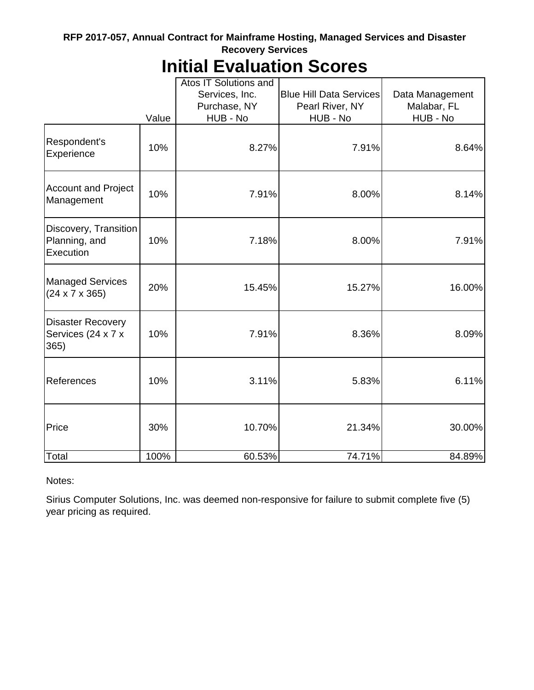#### **RFP 2017-057, Annual Contract for Mainframe Hosting, Managed Services and Disaster Recovery Services**

## **Initial Evaluation Scores**

|                                                        | Value | Atos IT Solutions and<br>Services, Inc.<br>Purchase, NY<br>HUB - No | <b>Blue Hill Data Services</b><br>Pearl River, NY<br>HUB - No | Data Management<br>Malabar, FL<br>HUB - No |
|--------------------------------------------------------|-------|---------------------------------------------------------------------|---------------------------------------------------------------|--------------------------------------------|
| Respondent's<br>Experience                             | 10%   | 8.27%                                                               | 7.91%                                                         | 8.64%                                      |
| <b>Account and Project</b><br>Management               | 10%   | 7.91%                                                               | 8.00%                                                         | 8.14%                                      |
| Discovery, Transition<br>Planning, and<br>Execution    | 10%   | 7.18%                                                               | 8.00%                                                         | 7.91%                                      |
| <b>Managed Services</b><br>$(24 \times 7 \times 365)$  | 20%   | 15.45%                                                              | 15.27%                                                        | 16.00%                                     |
| <b>Disaster Recovery</b><br>Services (24 x 7 x<br>365) | 10%   | 7.91%                                                               | 8.36%                                                         | 8.09%                                      |
| References                                             | 10%   | 3.11%                                                               | 5.83%                                                         | 6.11%                                      |
| Price                                                  | 30%   | 10.70%                                                              | 21.34%                                                        | 30.00%                                     |
| Total                                                  | 100%  | 60.53%                                                              | 74.71%                                                        | 84.89%                                     |

Notes:

Sirius Computer Solutions, Inc. was deemed non-responsive for failure to submit complete five (5) year pricing as required.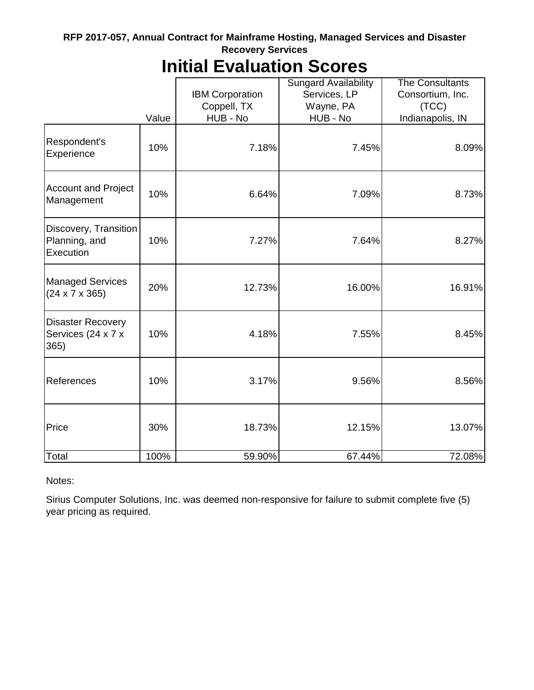#### **RFP 2017-057, Annual Contract for Mainframe Hosting, Managed Services and Disaster Recovery Services**

# **Initial Evaluation Scores**

|                                                        |       |                        | <b>Sungard Availability</b> | <b>The Consultants</b> |  |
|--------------------------------------------------------|-------|------------------------|-----------------------------|------------------------|--|
|                                                        |       | <b>IBM Corporation</b> | Services, LP                | Consortium, Inc.       |  |
|                                                        |       | Coppell, TX            | Wayne, PA                   | (TCC)                  |  |
|                                                        | Value | HUB - No               | HUB - No                    | Indianapolis, IN       |  |
| Respondent's<br>Experience                             | 10%   | 7.18%                  | 7.45%                       | 8.09%                  |  |
| <b>Account and Project</b><br>Management               | 10%   | 6.64%<br>7.09%         |                             | 8.73%                  |  |
| Discovery, Transition<br>Planning, and<br>Execution    | 10%   | 7.27%                  | 7.64%                       | 8.27%                  |  |
| <b>Managed Services</b><br>$(24 \times 7 \times 365)$  | 20%   | 12.73%                 | 16.00%                      | 16.91%                 |  |
| <b>Disaster Recovery</b><br>Services (24 x 7 x<br>365) | 10%   | 4.18%                  | 7.55%                       | 8.45%                  |  |
| References                                             | 10%   | 3.17%                  | 9.56%                       | 8.56%                  |  |
| Price                                                  | 30%   | 18.73%                 | 12.15%                      | 13.07%                 |  |
| Total                                                  | 100%  | 59.90%                 | 67.44%                      | 72.08%                 |  |

Notes:

Sirius Computer Solutions, Inc. was deemed non-responsive for failure to submit complete five (5) year pricing as required.